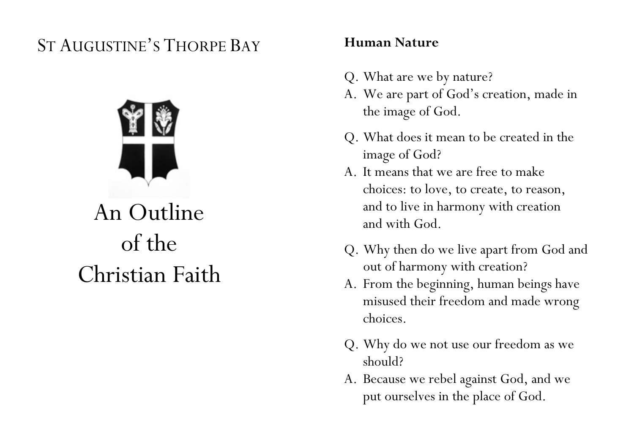## ST AUGUSTINE'S THORPE BAY



# An Outline of the Christian Faith

#### **Human Nature**

- Q. What are we by nature?
- A. We are part of God's creation, made in the image of God.
- Q. What does it mean to be created in the image of God?
- A. It means that we are free to make choices: to love, to create, to reason, and to live in harmony with creation and with God.
- Q. Why then do we live apart from God and out of harmony with creation?
- A. From the beginning, human beings have misused their freedom and made wrong choices.
- Q. Why do we not use our freedom as we should?
- A. Because we rebel against God, and we put ourselves in the place of God.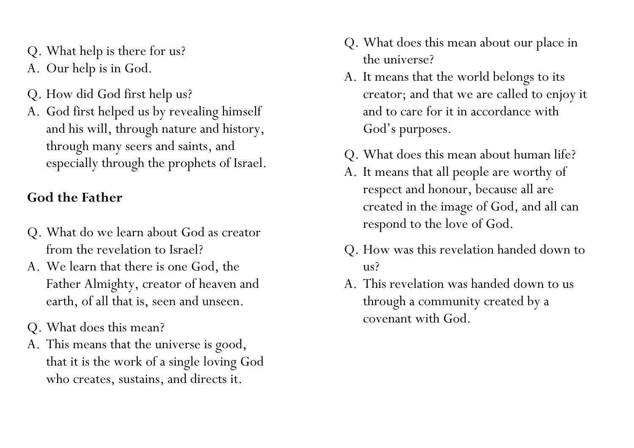- Q. What help is there for us?
- A. Our help is in God.
- Q. How did God first help us?
- A. God first helped us by revealing himself and his will, through nature and history, through many seers and saints, and especially through the prophets of Israel.

## **God the Father**

- Q. What do we learn about God as creator from the revelation to Israel?
- A. We learn that there is one God, the Father Almighty, creator of heaven and earth, of all that is, seen and unseen.
- Q. What does this mean?
- A. This means that the universe is good, that it is the work of a single loving God who creates, sustains, and directs it.
- Q. What does this mean about our place in the universe?
- A. It means that the world belongs to its creator; and that we are called to enjoy it and to care for it in accordance with God's purposes.
- Q. What does this mean about human life?
- A. It means that all people are worthy of respect and honour, because all are created in the image of God, and all can respond to the love of God.
- Q. How was this revelation handed down to  $\overline{u}$ s?
- A. This revelation was handed down to us through a community created by a covenant with God.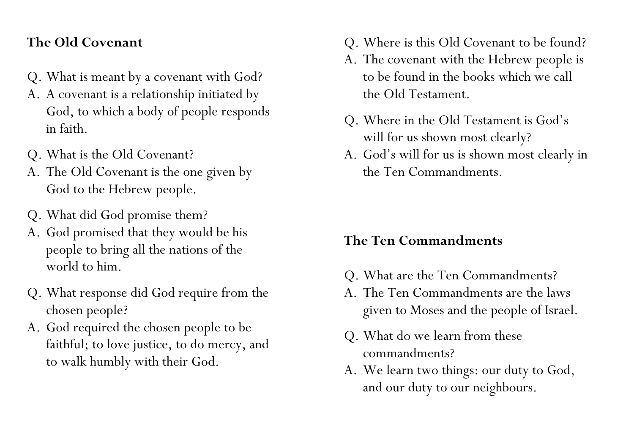#### **The Old Covenant**

- Q. What is meant by a covenant with God?
- A. A covenant is a relationship initiated by God, to which a body of people responds in faith.
- Q. What is the Old Covenant?
- A. The Old Covenant is the one given by God to the Hebrew people.
- Q. What did God promise them?
- A. God promised that they would be his people to bring all the nations of the world to him.
- Q. What response did God require from the chosen people?
- A. God required the chosen people to be faithful; to love justice, to do mercy, and to walk humbly with their God.
- Q. Where is this Old Covenant to be found?
- A. The covenant with the Hebrew people is to be found in the books which we call the Old Testament.
- Q. Where in the Old Testament is God's will for us shown most clearly?
- A. God's will for us is shown most clearly in the Ten Commandments.

#### **The Ten Commandments**

- Q. What are the Ten Commandments?
- A. The Ten Commandments are the laws given to Moses and the people of Israel.
- Q. What do we learn from these commandments?
- A. We learn two things: our duty to God, and our duty to our neighbours.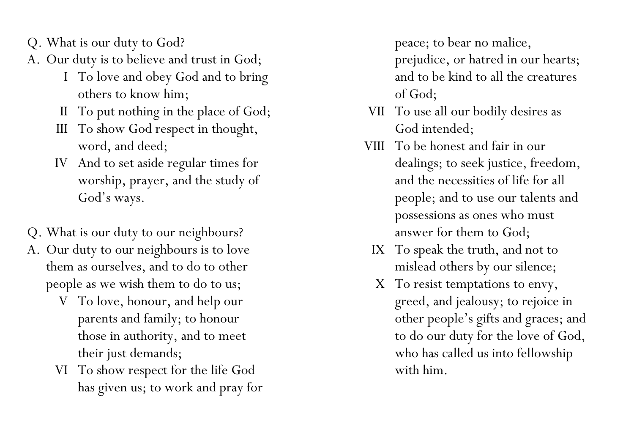- Q. What is our duty to God?
- A. Our duty is to believe and trust in God;
	- I To love and obey God and to bring others to know him;
	- II To put nothing in the place of God;
	- III To show God respect in thought, word, and deed;
	- IV And to set aside regular times for worship, prayer, and the study of God's ways.
- Q. What is our duty to our neighbours?
- A. Our duty to our neighbours is to love them as ourselves, and to do to other people as we wish them to do to us;
	- V To love, honour, and help our parents and family; to honour those in authority, and to meet their just demands;
	- VI To show respect for the life God has given us; to work and pray for

peace; to bear no malice, prejudice, or hatred in our hearts; and to be kind to all the creatures of God;

- VII To use all our bodily desires as God intended;
- VIII To be honest and fair in our dealings; to seek justice, freedom, and the necessities of life for all people; and to use our talents and possessions as ones who must answer for them to God;
	- IX To speak the truth, and not to mislead others by our silence;
	- X To resist temptations to envy, greed, and jealousy; to rejoice in other people's gifts and graces; and to do our duty for the love of God, who has called us into fellowship with him.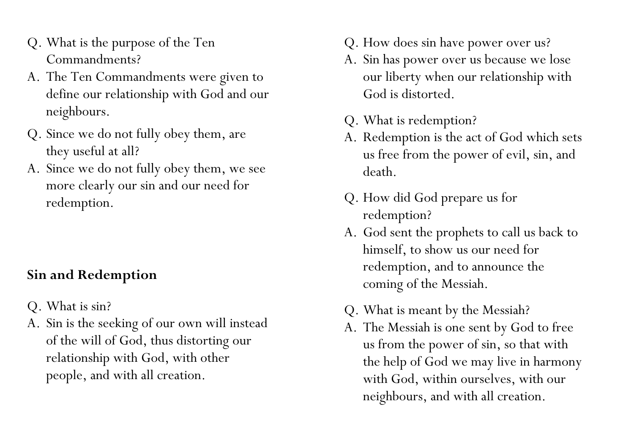- Q. What is the purpose of the Ten Commandments?
- A. The Ten Commandments were given to define our relationship with God and our neighbours.
- Q. Since we do not fully obey them, are they useful at all?
- A. Since we do not fully obey them, we see more clearly our sin and our need for redemption.

## **Sin and Redemption**

- Q. What is sin?
- A. Sin is the seeking of our own will instead of the will of God, thus distorting our relationship with God, with other people, and with all creation.
- Q. How does sin have power over us?
- A. Sin has power over us because we lose our liberty when our relationship with God is distorted.
- Q. What is redemption?
- A. Redemption is the act of God which sets us free from the power of evil, sin, and death.
- Q. How did God prepare us for redemption?
- A. God sent the prophets to call us back to himself, to show us our need for redemption, and to announce the coming of the Messiah.
- Q. What is meant by the Messiah?
- A. The Messiah is one sent by God to free us from the power of sin, so that with the help of God we may live in harmony with God, within ourselves, with our neighbours, and with all creation.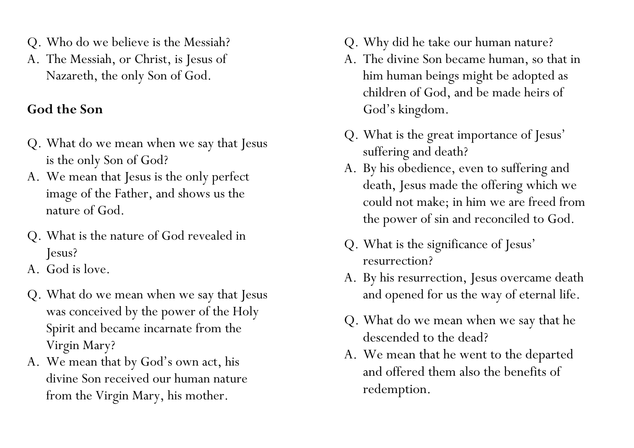- Q. Who do we believe is the Messiah?
- A. The Messiah, or Christ, is Jesus of Nazareth, the only Son of God.

## **God the Son**

- Q. What do we mean when we say that Jesus is the only Son of God?
- A. We mean that Jesus is the only perfect image of the Father, and shows us the nature of God.
- Q. What is the nature of God revealed in Jesus?
- A. God is love.
- Q. What do we mean when we say that Jesus was conceived by the power of the Holy Spirit and became incarnate from the Virgin Mary?
- A. We mean that by God's own act, his divine Son received our human nature from the Virgin Mary, his mother.
- Q. Why did he take our human nature?
- A. The divine Son became human, so that in him human beings might be adopted as children of God, and be made heirs of God's kingdom.
- Q. What is the great importance of Jesus' suffering and death?
- A. By his obedience, even to suffering and death, Jesus made the offering which we could not make; in him we are freed from the power of sin and reconciled to God.
- Q. What is the significance of Jesus' resurrection?
- A. By his resurrection, Jesus overcame death and opened for us the way of eternal life.
- Q. What do we mean when we say that he descended to the dead?
- A. We mean that he went to the departed and offered them also the benefits of redemption.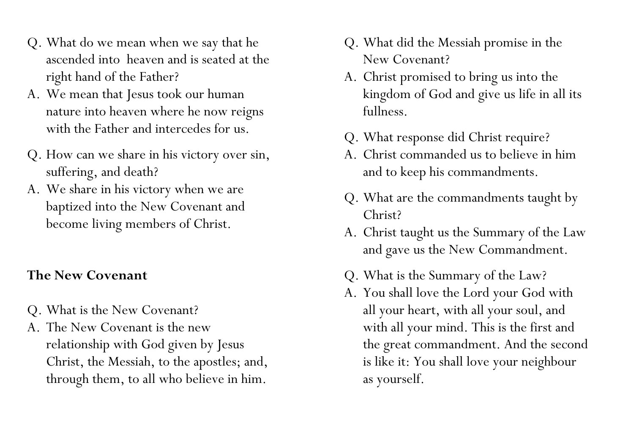- Q. What do we mean when we say that he ascended into heaven and is seated at the right hand of the Father?
- A. We mean that Jesus took our human nature into heaven where he now reigns with the Father and intercedes for us.
- Q. How can we share in his victory over sin, suffering, and death?
- A. We share in his victory when we are baptized into the New Covenant and become living members of Christ.

## **The New Covenant**

- Q. What is the New Covenant?
- A. The New Covenant is the new relationship with God given by Jesus Christ, the Messiah, to the apostles; and, through them, to all who believe in him.
- Q. What did the Messiah promise in the New Covenant?
- A. Christ promised to bring us into the kingdom of God and give us life in all its fullness.
- Q. What response did Christ require?
- A. Christ commanded us to believe in him and to keep his commandments.
- Q. What are the commandments taught by Christ?
- A. Christ taught us the Summary of the Law and gave us the New Commandment.
- Q. What is the Summary of the Law?
- A. You shall love the Lord your God with all your heart, with all your soul, and with all your mind. This is the first and the great commandment. And the second is like it: You shall love your neighbour as yourself.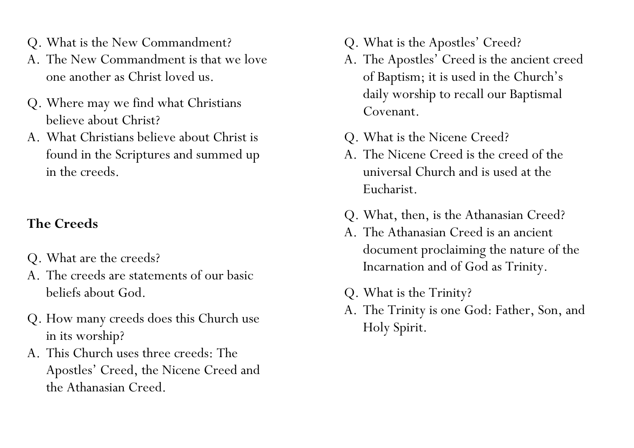- Q. What is the New Commandment?
- A. The New Commandment is that we love one another as Christ loved us.
- Q. Where may we find what Christians believe about Christ?
- A. What Christians believe about Christ is found in the Scriptures and summed up in the creeds.

## **The Creeds**

- Q. What are the creeds?
- A. The creeds are statements of our basic beliefs about God.
- Q. How many creeds does this Church use in its worship?
- A. This Church uses three creeds: The Apostles' Creed, the Nicene Creed and the Athanasian Creed.
- Q. What is the Apostles' Creed?
- A. The Apostles' Creed is the ancient creed of Baptism; it is used in the Church's daily worship to recall our Baptismal Covenant.
- Q. What is the Nicene Creed?
- A. The Nicene Creed is the creed of the universal Church and is used at the Eucharist.
- Q. What, then, is the Athanasian Creed?
- A. The Athanasian Creed is an ancient document proclaiming the nature of the Incarnation and of God as Trinity.
- Q. What is the Trinity?
- A. The Trinity is one God: Father, Son, and Holy Spirit.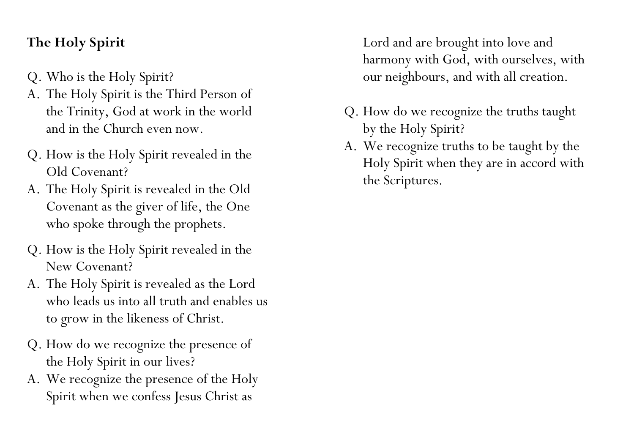## **The Holy Spirit**

- Q. Who is the Holy Spirit?
- A. The Holy Spirit is the Third Person of the Trinity, God at work in the world and in the Church even now.
- Q. How is the Holy Spirit revealed in the Old Covenant?
- A. The Holy Spirit is revealed in the Old Covenant as the giver of life, the One who spoke through the prophets.
- Q. How is the Holy Spirit revealed in the New Covenant?
- A. The Holy Spirit is revealed as the Lord who leads us into all truth and enables us to grow in the likeness of Christ.
- Q. How do we recognize the presence of the Holy Spirit in our lives?
- A. We recognize the presence of the Holy Spirit when we confess Jesus Christ as

Lord and are brought into love and harmony with God, with ourselves, with our neighbours, and with all creation.

- Q. How do we recognize the truths taught by the Holy Spirit?
- A. We recognize truths to be taught by the Holy Spirit when they are in accord with the Scriptures.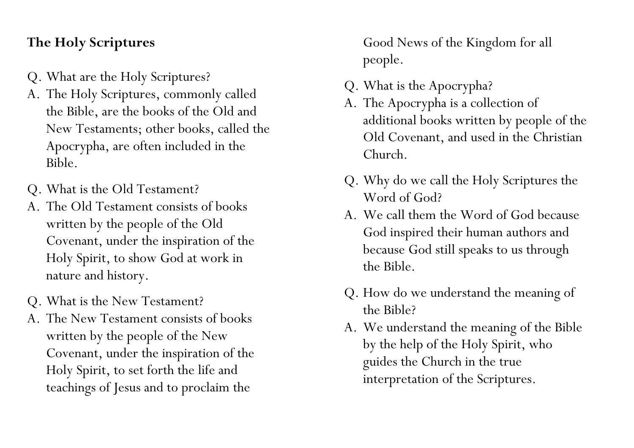#### **The Holy Scriptures**

- Q. What are the Holy Scriptures?
- A. The Holy Scriptures, commonly called the Bible, are the books of the Old and New Testaments; other books, called the Apocrypha, are often included in the Bible.
- Q. What is the Old Testament?
- A. The Old Testament consists of books written by the people of the Old Covenant, under the inspiration of the Holy Spirit, to show God at work in nature and history.
- Q. What is the New Testament?
- A. The New Testament consists of books written by the people of the New Covenant, under the inspiration of the Holy Spirit, to set forth the life and teachings of Jesus and to proclaim the

Good News of the Kingdom for all people.

- Q. What is the Apocrypha?
- A. The Apocrypha is a collection of additional books written by people of the Old Covenant, and used in the Christian Church.
- Q. Why do we call the Holy Scriptures the Word of God?
- A. We call them the Word of God because God inspired their human authors and because God still speaks to us through the Bible.
- Q. How do we understand the meaning of the Bible?
- A. We understand the meaning of the Bible by the help of the Holy Spirit, who guides the Church in the true interpretation of the Scriptures.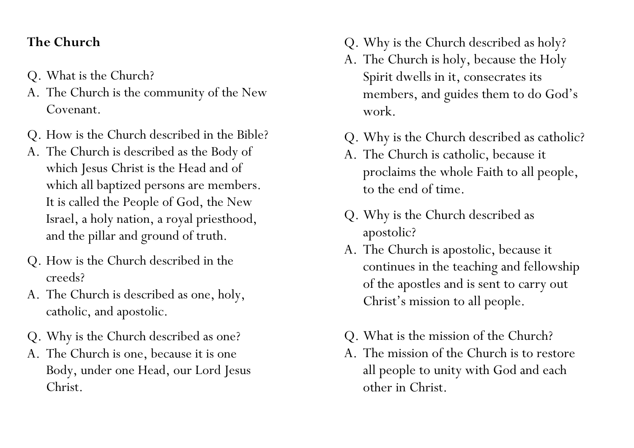#### **The Church**

- Q. What is the Church?
- A. The Church is the community of the New Covenant.
- Q. How is the Church described in the Bible?
- A. The Church is described as the Body of which Jesus Christ is the Head and of which all baptized persons are members. It is called the People of God, the New Israel, a holy nation, a royal priesthood, and the pillar and ground of truth.
- Q. How is the Church described in the creeds?
- A. The Church is described as one, holy, catholic, and apostolic.
- Q. Why is the Church described as one?
- A. The Church is one, because it is one Body, under one Head, our Lord Jesus Christ.
- Q. Why is the Church described as holy?
- A. The Church is holy, because the Holy Spirit dwells in it, consecrates its members, and guides them to do God's work.
- Q. Why is the Church described as catholic?
- A. The Church is catholic, because it proclaims the whole Faith to all people, to the end of time.
- Q. Why is the Church described as apostolic?
- A. The Church is apostolic, because it continues in the teaching and fellowship of the apostles and is sent to carry out Christ's mission to all people.
- Q. What is the mission of the Church?
- A. The mission of the Church is to restore all people to unity with God and each other in Christ.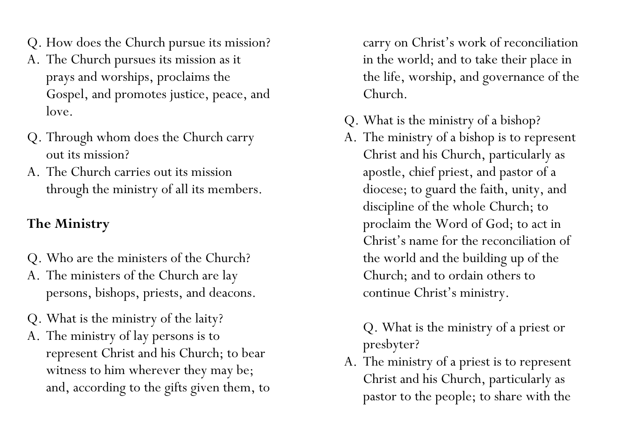- Q. How does the Church pursue its mission?
- A. The Church pursues its mission as it prays and worships, proclaims the Gospel, and promotes justice, peace, and love.
- Q. Through whom does the Church carry out its mission?
- A. The Church carries out its mission through the ministry of all its members.

## **The Ministry**

- Q. Who are the ministers of the Church?
- A. The ministers of the Church are lay persons, bishops, priests, and deacons.
- Q. What is the ministry of the laity?
- A. The ministry of lay persons is to represent Christ and his Church; to bear witness to him wherever they may be; and, according to the gifts given them, to

carry on Christ's work of reconciliation in the world; and to take their place in the life, worship, and governance of the Church.

- Q. What is the ministry of a bishop?
- A. The ministry of a bishop is to represent Christ and his Church, particularly as apostle, chief priest, and pastor of a diocese; to guard the faith, unity, and discipline of the whole Church; to proclaim the Word of God; to act in Christ's name for the reconciliation of the world and the building up of the Church; and to ordain others to continue Christ's ministry.

Q. What is the ministry of a priest or presbyter?

A. The ministry of a priest is to represent Christ and his Church, particularly as pastor to the people; to share with the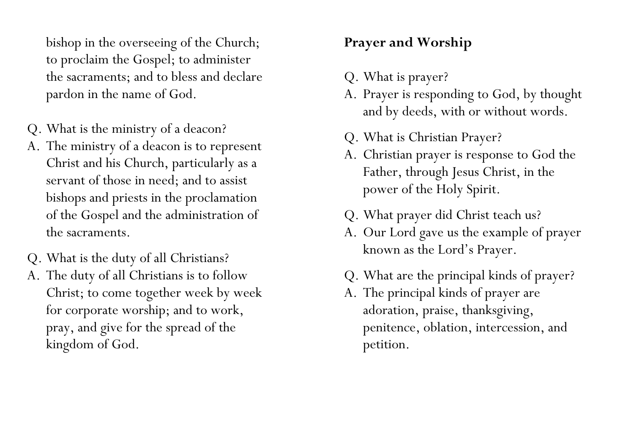bishop in the overseeing of the Church; to proclaim the Gospel; to administer the sacraments; and to bless and declare pardon in the name of God.

- Q. What is the ministry of a deacon?
- A. The ministry of a deacon is to represent Christ and his Church, particularly as a servant of those in need; and to assist bishops and priests in the proclamation of the Gospel and the administration of the sacraments.
- Q. What is the duty of all Christians?
- A. The duty of all Christians is to follow Christ; to come together week by week for corporate worship; and to work, pray, and give for the spread of the kingdom of God.

## **Prayer and Worship**

- Q. What is prayer?
- A. Prayer is responding to God, by thought and by deeds, with or without words.
- Q. What is Christian Prayer?
- A. Christian prayer is response to God the Father, through Jesus Christ, in the power of the Holy Spirit.
- Q. What prayer did Christ teach us?
- A. Our Lord gave us the example of prayer known as the Lord's Prayer.
- Q. What are the principal kinds of prayer?
- A. The principal kinds of prayer are adoration, praise, thanksgiving, penitence, oblation, intercession, and petition.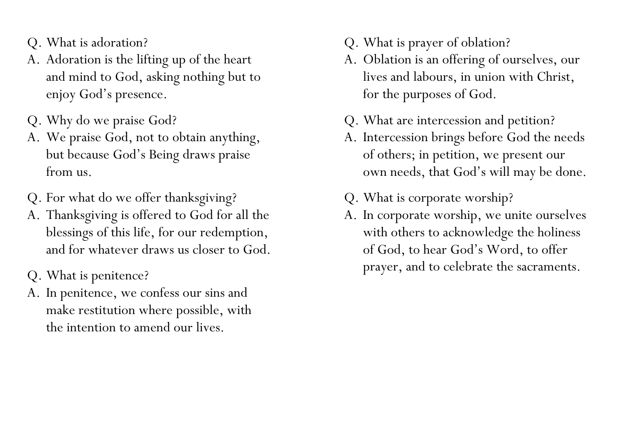- Q. What is adoration?
- A. Adoration is the lifting up of the heart and mind to God, asking nothing but to enjoy God's presence.
- Q. Why do we praise God?
- A. We praise God, not to obtain anything, but because God's Being draws praise from us.
- Q. For what do we offer thanksgiving?
- A. Thanksgiving is offered to God for all the blessings of this life, for our redemption, and for whatever draws us closer to God.
- Q. What is penitence?
- A. In penitence, we confess our sins and make restitution where possible, with the intention to amend our lives.
- Q. What is prayer of oblation?
- A. Oblation is an offering of ourselves, our lives and labours, in union with Christ, for the purposes of God.
- Q. What are intercession and petition?
- A. Intercession brings before God the needs of others; in petition, we present our own needs, that God's will may be done.
- Q. What is corporate worship?
- A. In corporate worship, we unite ourselves with others to acknowledge the holiness of God, to hear God's Word, to offer prayer, and to celebrate the sacraments.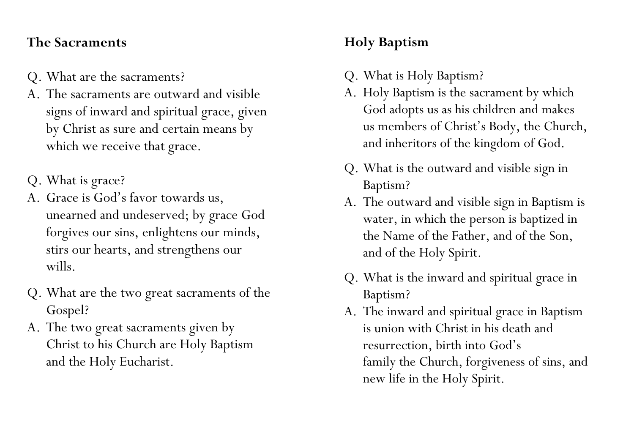#### **The Sacraments**

- Q. What are the sacraments?
- A. The sacraments are outward and visible signs of inward and spiritual grace, given by Christ as sure and certain means by which we receive that grace.
- Q. What is grace?
- A. Grace is God's favor towards us, unearned and undeserved; by grace God forgives our sins, enlightens our minds, stirs our hearts, and strengthens our wills.
- Q. What are the two great sacraments of the Gospel?
- A. The two great sacraments given by Christ to his Church are Holy Baptism and the Holy Eucharist.

## **Holy Baptism**

- Q. What is Holy Baptism?
- A. Holy Baptism is the sacrament by which God adopts us as his children and makes us members of Christ's Body, the Church, and inheritors of the kingdom of God.
- Q. What is the outward and visible sign in Baptism?
- A. The outward and visible sign in Baptism is water, in which the person is baptized in the Name of the Father, and of the Son, and of the Holy Spirit.
- Q. What is the inward and spiritual grace in Baptism?
- A. The inward and spiritual grace in Baptism is union with Christ in his death and resurrection, birth into God's family the Church, forgiveness of sins, and new life in the Holy Spirit.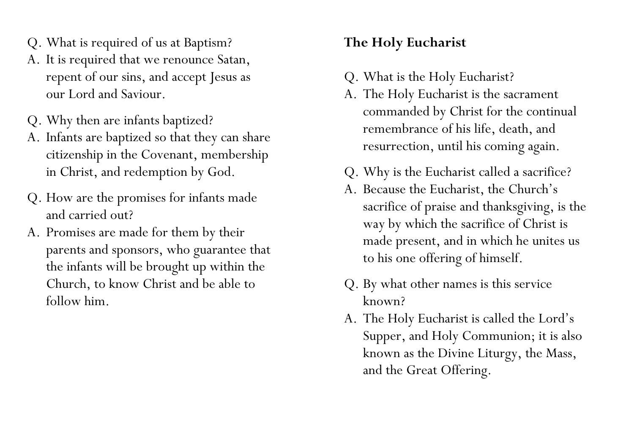- Q. What is required of us at Baptism?
- A. It is required that we renounce Satan, repent of our sins, and accept Jesus as our Lord and Saviour.
- Q. Why then are infants baptized?
- A. Infants are baptized so that they can share citizenship in the Covenant, membership in Christ, and redemption by God.
- Q. How are the promises for infants made and carried out?
- A. Promises are made for them by their parents and sponsors, who guarantee that the infants will be brought up within the Church, to know Christ and be able to follow him.

## **The Holy Eucharist**

- Q. What is the Holy Eucharist?
- A. The Holy Eucharist is the sacrament commanded by Christ for the continual remembrance of his life, death, and resurrection, until his coming again.
- Q. Why is the Eucharist called a sacrifice?
- A. Because the Eucharist, the Church's sacrifice of praise and thanksgiving, is the way by which the sacrifice of Christ is made present, and in which he unites us to his one offering of himself.
- Q. By what other names is this service known?
- A. The Holy Eucharist is called the Lord's Supper, and Holy Communion; it is also known as the Divine Liturgy, the Mass, and the Great Offering.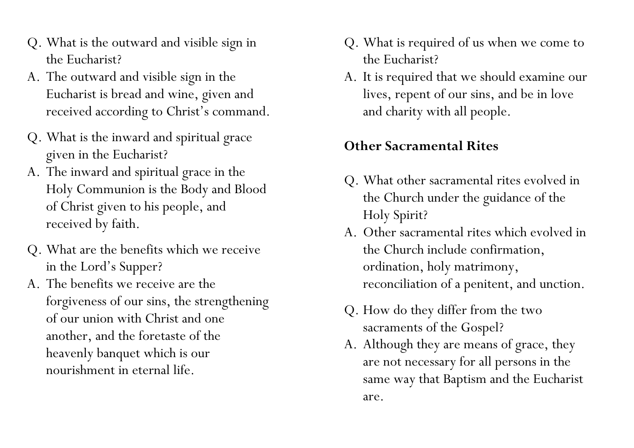- Q. What is the outward and visible sign in the Eucharist?
- A. The outward and visible sign in the Eucharist is bread and wine, given and received according to Christ's command.
- Q. What is the inward and spiritual grace given in the Eucharist?
- A. The inward and spiritual grace in the Holy Communion is the Body and Blood of Christ given to his people, and received by faith.
- Q. What are the benefits which we receive in the Lord's Supper?
- A. The benefits we receive are the forgiveness of our sins, the strengthening of our union with Christ and one another, and the foretaste of the heavenly banquet which is our nourishment in eternal life.
- Q. What is required of us when we come to the Eucharist?
- A. It is required that we should examine our lives, repent of our sins, and be in love and charity with all people.

#### **Other Sacramental Rites**

- Q. What other sacramental rites evolved in the Church under the guidance of the Holy Spirit?
- A. Other sacramental rites which evolved in the Church include confirmation, ordination, holy matrimony, reconciliation of a penitent, and unction.
- Q. How do they differ from the two sacraments of the Gospel?
- A. Although they are means of grace, they are not necessary for all persons in the same way that Baptism and the Eucharist are.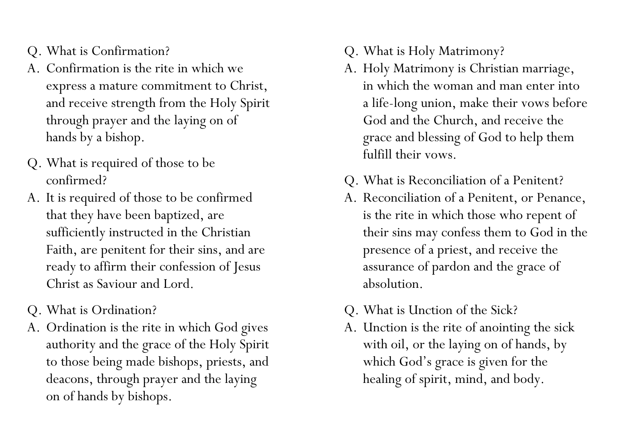- Q. What is Confirmation?
- A. Confirmation is the rite in which we express a mature commitment to Christ, and receive strength from the Holy Spirit through prayer and the laying on of hands by a bishop.
- Q. What is required of those to be confirmed?
- A. It is required of those to be confirmed that they have been baptized, are sufficiently instructed in the Christian Faith, are penitent for their sins, and are ready to affirm their confession of Jesus Christ as Saviour and Lord.
- Q. What is Ordination?
- A. Ordination is the rite in which God gives authority and the grace of the Holy Spirit to those being made bishops, priests, and deacons, through prayer and the laying on of hands by bishops.
- Q. What is Holy Matrimony?
- A. Holy Matrimony is Christian marriage, in which the woman and man enter into a life-long union, make their vows before God and the Church, and receive the grace and blessing of God to help them fulfill their vows.
- Q. What is Reconciliation of a Penitent?
- A. Reconciliation of a Penitent, or Penance, is the rite in which those who repent of their sins may confess them to God in the presence of a priest, and receive the assurance of pardon and the grace of absolution.
- Q. What is Unction of the Sick?
- A. Unction is the rite of anointing the sick with oil, or the laying on of hands, by which God's grace is given for the healing of spirit, mind, and body.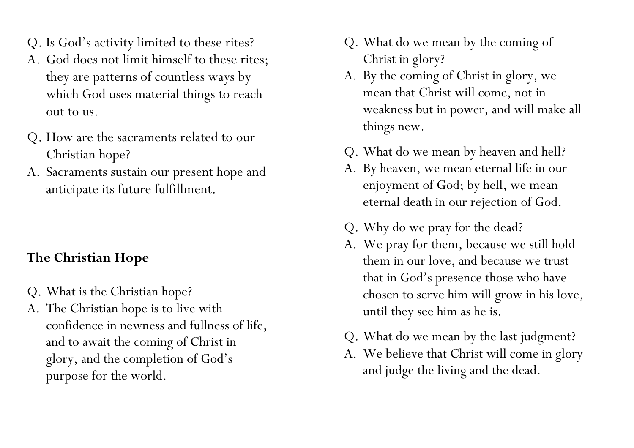- Q. Is God's activity limited to these rites?
- A. God does not limit himself to these rites; they are patterns of countless ways by which God uses material things to reach out to us.
- Q. How are the sacraments related to our Christian hope?
- A. Sacraments sustain our present hope and anticipate its future fulfillment.

## **The Christian Hope**

- Q. What is the Christian hope?
- A. The Christian hope is to live with confidence in newness and fullness of life, and to await the coming of Christ in glory, and the completion of God's purpose for the world.
- Q. What do we mean by the coming of Christ in glory?
- A. By the coming of Christ in glory, we mean that Christ will come, not in weakness but in power, and will make all things new.
- Q. What do we mean by heaven and hell?
- A. By heaven, we mean eternal life in our enjoyment of God; by hell, we mean eternal death in our rejection of God.
- Q. Why do we pray for the dead?
- A. We pray for them, because we still hold them in our love, and because we trust that in God's presence those who have chosen to serve him will grow in his love, until they see him as he is.
- Q. What do we mean by the last judgment?
- A. We believe that Christ will come in glory and judge the living and the dead.